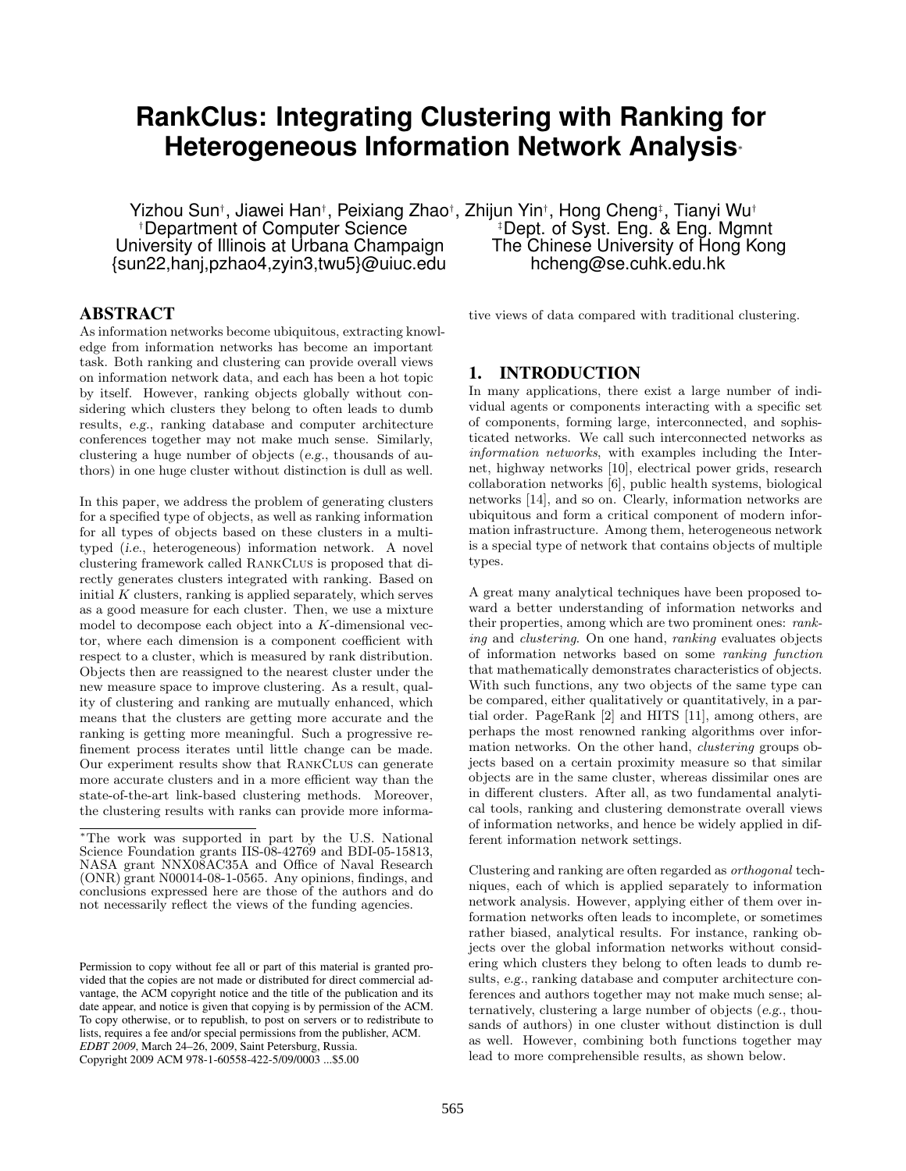# **RankClus: Integrating Clustering with Ranking for Heterogeneous Information Network Analysis**<sup>∗</sup>

Yizhou Sun<sup>†</sup>, Jiawei Han<sup>†</sup>, Peixiang Zhao<sup>†</sup>, Zhijun Yin<sup>†</sup>, Hong Cheng‡, Tianyi Wu† †Department of Computer Science ‡Dept. of Syst. Eng. & Eng. Mgmnt University of Illinois at Urbana Champaign The Chinese University of Hong Kong {sun22,hanj,pzhao4,zyin3,twu5}@uiuc.edu hcheng@se.cuhk.edu.hk

### ABSTRACT

As information networks become ubiquitous, extracting knowledge from information networks has become an important task. Both ranking and clustering can provide overall views on information network data, and each has been a hot topic by itself. However, ranking objects globally without considering which clusters they belong to often leads to dumb results, e.g., ranking database and computer architecture conferences together may not make much sense. Similarly, clustering a huge number of objects (e.g., thousands of authors) in one huge cluster without distinction is dull as well.

In this paper, we address the problem of generating clusters for a specified type of objects, as well as ranking information for all types of objects based on these clusters in a multityped (i.e., heterogeneous) information network. A novel clustering framework called RankClus is proposed that directly generates clusters integrated with ranking. Based on initial  $K$  clusters, ranking is applied separately, which serves as a good measure for each cluster. Then, we use a mixture model to decompose each object into a K-dimensional vector, where each dimension is a component coefficient with respect to a cluster, which is measured by rank distribution. Objects then are reassigned to the nearest cluster under the new measure space to improve clustering. As a result, quality of clustering and ranking are mutually enhanced, which means that the clusters are getting more accurate and the ranking is getting more meaningful. Such a progressive refinement process iterates until little change can be made. Our experiment results show that RankClus can generate more accurate clusters and in a more efficient way than the state-of-the-art link-based clustering methods. Moreover, the clustering results with ranks can provide more informa-

Permission to copy without fee all or part of this material is granted provided that the copies are not made or distributed for direct commercial advantage, the ACM copyright notice and the title of the publication and its date appear, and notice is given that copying is by permission of the ACM. To copy otherwise, or to republish, to post on servers or to redistribute to lists, requires a fee and/or special permissions from the publisher, ACM. *EDBT 2009*, March 24–26, 2009, Saint Petersburg, Russia. Copyright 2009 ACM 978-1-60558-422-5/09/0003 ...\$5.00

tive views of data compared with traditional clustering.

# 1. INTRODUCTION

In many applications, there exist a large number of individual agents or components interacting with a specific set of components, forming large, interconnected, and sophisticated networks. We call such interconnected networks as information networks, with examples including the Internet, highway networks [10], electrical power grids, research collaboration networks [6], public health systems, biological networks [14], and so on. Clearly, information networks are ubiquitous and form a critical component of modern information infrastructure. Among them, heterogeneous network is a special type of network that contains objects of multiple types.

A great many analytical techniques have been proposed toward a better understanding of information networks and their properties, among which are two prominent ones: ranking and clustering. On one hand, ranking evaluates objects of information networks based on some ranking function that mathematically demonstrates characteristics of objects. With such functions, any two objects of the same type can be compared, either qualitatively or quantitatively, in a partial order. PageRank [2] and HITS [11], among others, are perhaps the most renowned ranking algorithms over information networks. On the other hand, clustering groups objects based on a certain proximity measure so that similar objects are in the same cluster, whereas dissimilar ones are in different clusters. After all, as two fundamental analytical tools, ranking and clustering demonstrate overall views of information networks, and hence be widely applied in different information network settings.

Clustering and ranking are often regarded as orthogonal techniques, each of which is applied separately to information network analysis. However, applying either of them over information networks often leads to incomplete, or sometimes rather biased, analytical results. For instance, ranking objects over the global information networks without considering which clusters they belong to often leads to dumb results, e.g., ranking database and computer architecture conferences and authors together may not make much sense; alternatively, clustering a large number of objects (e.g., thousands of authors) in one cluster without distinction is dull as well. However, combining both functions together may lead to more comprehensible results, as shown below.

<sup>∗</sup>The work was supported in part by the U.S. National Science Foundation grants IIS-08-42769 and BDI-05-15813, NASA grant NNX08AC35A and Office of Naval Research (ONR) grant N00014-08-1-0565. Any opinions, findings, and conclusions expressed here are those of the authors and do not necessarily reflect the views of the funding agencies.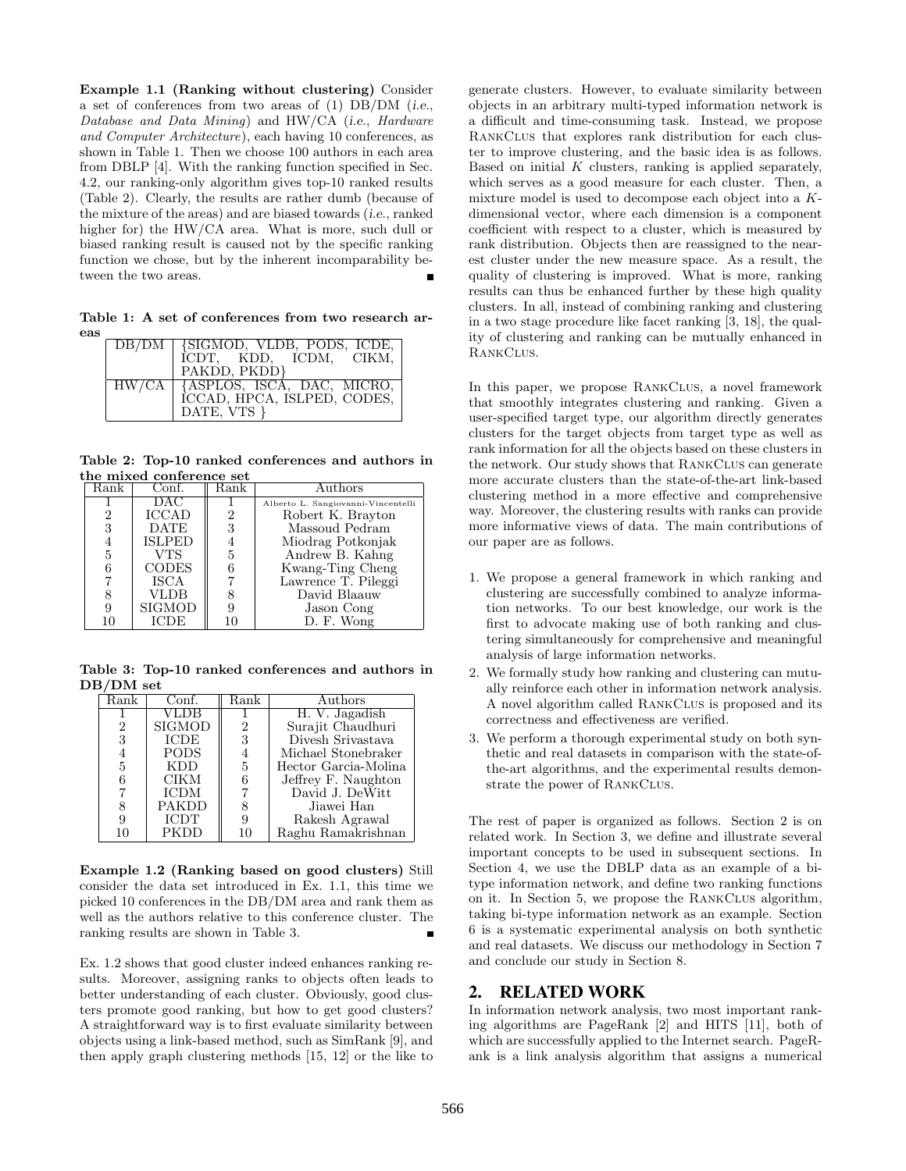Example 1.1 (Ranking without clustering) Consider a set of conferences from two areas of (1) DB/DM (i.e., Database and Data Mining) and HW/CA (i.e., Hardware and Computer Architecture), each having 10 conferences, as shown in Table 1. Then we choose 100 authors in each area from DBLP [4]. With the ranking function specified in Sec. 4.2, our ranking-only algorithm gives top-10 ranked results (Table 2). Clearly, the results are rather dumb (because of the mixture of the areas) and are biased towards (i.e., ranked higher for) the HW/CA area. What is more, such dull or biased ranking result is caused not by the specific ranking function we chose, but by the inherent incomparability between the two areas.

Table 1: A set of conferences from two research ar-

| eas |                                                               |
|-----|---------------------------------------------------------------|
|     |                                                               |
|     | DB/DM {SIGMOD, VLDB, PODS, ICDE, ICDE, ICDT, KDD, ICDM, CIKM, |
|     | PAKDD, PKDD}                                                  |
|     | HW/CA {ASPLOS, ISCA, DAC, MICRO, ICCAD, HPCA, ISLPED, CODES,  |
|     |                                                               |
|     | DATE VTS }                                                    |

Table 2: Top-10 ranked conferences and authors in the mixed conference set

|   |               | Kank | Authors                            |
|---|---------------|------|------------------------------------|
|   | DAC           |      | Alberto L. Sangiovanni-Vincentelli |
|   | <b>ICCAD</b>  | 2    | Robert K. Brayton                  |
| 3 | <b>DATE</b>   | 3    | Massoud Pedram                     |
|   | <b>ISLPED</b> | 4    | Miodrag Potkonjak                  |
| 5 | <b>VTS</b>    | 5    | Andrew B. Kahng                    |
|   | <b>CODES</b>  |      | Kwang-Ting Cheng                   |
|   | <b>ISCA</b>   |      | Lawrence T. Pileggi                |
|   | VLDB          |      | David Blaauw                       |
|   | <b>SIGMOD</b> | 9    | Jason Cong                         |
|   | ICDE          |      | D. F. Wong                         |

Table 3: Top-10 ranked conferences and authors in DB/DM set

| Rank | Cont.         | Rank | Authors              |
|------|---------------|------|----------------------|
|      | VLDB          |      | H. V. Jagadish       |
| 2    | <b>SIGMOD</b> | 2    | Surajit Chaudhuri    |
| 3    | <b>ICDE</b>   | 3    | Divesh Srivastava    |
|      | <b>PODS</b>   |      | Michael Stonebraker  |
| 5    | KDD           | 5    | Hector Garcia-Molina |
|      | <b>CIKM</b>   |      | Jeffrey F. Naughton  |
|      | <b>ICDM</b>   |      | David J. DeWitt      |
| 8    | <b>PAKDD</b>  |      | Jiawei Han           |
| 9    | <b>ICDT</b>   |      | Rakesh Agrawal       |
|      | PKDD          |      | Raghu Ramakrishnan   |

Example 1.2 (Ranking based on good clusters) Still consider the data set introduced in Ex. 1.1, this time we picked 10 conferences in the DB/DM area and rank them as well as the authors relative to this conference cluster. The ranking results are shown in Table 3.

Ex. 1.2 shows that good cluster indeed enhances ranking results. Moreover, assigning ranks to objects often leads to better understanding of each cluster. Obviously, good clusters promote good ranking, but how to get good clusters? A straightforward way is to first evaluate similarity between objects using a link-based method, such as SimRank [9], and then apply graph clustering methods [15, 12] or the like to generate clusters. However, to evaluate similarity between objects in an arbitrary multi-typed information network is a difficult and time-consuming task. Instead, we propose RankClus that explores rank distribution for each cluster to improve clustering, and the basic idea is as follows. Based on initial  $K$  clusters, ranking is applied separately, which serves as a good measure for each cluster. Then, a mixture model is used to decompose each object into a Kdimensional vector, where each dimension is a component coefficient with respect to a cluster, which is measured by rank distribution. Objects then are reassigned to the nearest cluster under the new measure space. As a result, the quality of clustering is improved. What is more, ranking results can thus be enhanced further by these high quality clusters. In all, instead of combining ranking and clustering in a two stage procedure like facet ranking [3, 18], the quality of clustering and ranking can be mutually enhanced in RANKCLUS.

In this paper, we propose RANKCLUS, a novel framework that smoothly integrates clustering and ranking. Given a user-specified target type, our algorithm directly generates clusters for the target objects from target type as well as rank information for all the objects based on these clusters in the network. Our study shows that RankClus can generate more accurate clusters than the state-of-the-art link-based clustering method in a more effective and comprehensive way. Moreover, the clustering results with ranks can provide more informative views of data. The main contributions of our paper are as follows.

- 1. We propose a general framework in which ranking and clustering are successfully combined to analyze information networks. To our best knowledge, our work is the first to advocate making use of both ranking and clustering simultaneously for comprehensive and meaningful analysis of large information networks.
- 2. We formally study how ranking and clustering can mutually reinforce each other in information network analysis. A novel algorithm called RankClus is proposed and its correctness and effectiveness are verified.
- 3. We perform a thorough experimental study on both synthetic and real datasets in comparison with the state-ofthe-art algorithms, and the experimental results demonstrate the power of RankClus.

The rest of paper is organized as follows. Section 2 is on related work. In Section 3, we define and illustrate several important concepts to be used in subsequent sections. In Section 4, we use the DBLP data as an example of a bitype information network, and define two ranking functions on it. In Section 5, we propose the RankClus algorithm, taking bi-type information network as an example. Section 6 is a systematic experimental analysis on both synthetic and real datasets. We discuss our methodology in Section 7 and conclude our study in Section 8.

# 2. RELATED WORK

In information network analysis, two most important ranking algorithms are PageRank [2] and HITS [11], both of which are successfully applied to the Internet search. PageRank is a link analysis algorithm that assigns a numerical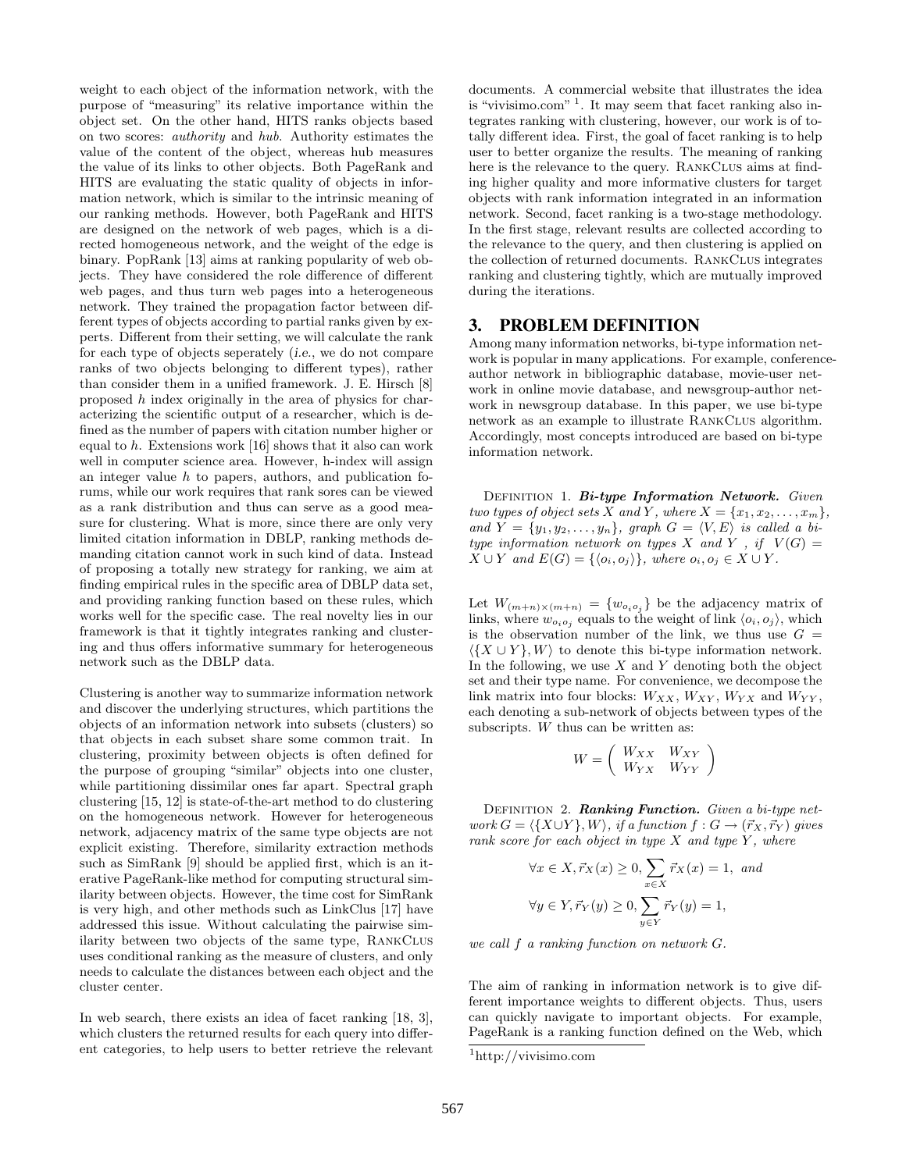weight to each object of the information network, with the purpose of "measuring" its relative importance within the object set. On the other hand, HITS ranks objects based on two scores: authority and hub. Authority estimates the value of the content of the object, whereas hub measures the value of its links to other objects. Both PageRank and HITS are evaluating the static quality of objects in information network, which is similar to the intrinsic meaning of our ranking methods. However, both PageRank and HITS are designed on the network of web pages, which is a directed homogeneous network, and the weight of the edge is binary. PopRank [13] aims at ranking popularity of web objects. They have considered the role difference of different web pages, and thus turn web pages into a heterogeneous network. They trained the propagation factor between different types of objects according to partial ranks given by experts. Different from their setting, we will calculate the rank for each type of objects seperately (i.e., we do not compare ranks of two objects belonging to different types), rather than consider them in a unified framework. J. E. Hirsch [8] proposed h index originally in the area of physics for characterizing the scientific output of a researcher, which is defined as the number of papers with citation number higher or equal to h. Extensions work [16] shows that it also can work well in computer science area. However, h-index will assign an integer value  $h$  to papers, authors, and publication forums, while our work requires that rank sores can be viewed as a rank distribution and thus can serve as a good measure for clustering. What is more, since there are only very limited citation information in DBLP, ranking methods demanding citation cannot work in such kind of data. Instead of proposing a totally new strategy for ranking, we aim at finding empirical rules in the specific area of DBLP data set, and providing ranking function based on these rules, which works well for the specific case. The real novelty lies in our framework is that it tightly integrates ranking and clustering and thus offers informative summary for heterogeneous network such as the DBLP data.

Clustering is another way to summarize information network and discover the underlying structures, which partitions the objects of an information network into subsets (clusters) so that objects in each subset share some common trait. In clustering, proximity between objects is often defined for the purpose of grouping "similar" objects into one cluster, while partitioning dissimilar ones far apart. Spectral graph clustering [15, 12] is state-of-the-art method to do clustering on the homogeneous network. However for heterogeneous network, adjacency matrix of the same type objects are not explicit existing. Therefore, similarity extraction methods such as SimRank [9] should be applied first, which is an iterative PageRank-like method for computing structural similarity between objects. However, the time cost for SimRank is very high, and other methods such as LinkClus [17] have addressed this issue. Without calculating the pairwise similarity between two objects of the same type, RankClus uses conditional ranking as the measure of clusters, and only needs to calculate the distances between each object and the cluster center.

In web search, there exists an idea of facet ranking [18, 3], which clusters the returned results for each query into different categories, to help users to better retrieve the relevant documents. A commercial website that illustrates the idea is "vivisimo.com"  $^1$ . It may seem that facet ranking also integrates ranking with clustering, however, our work is of totally different idea. First, the goal of facet ranking is to help user to better organize the results. The meaning of ranking here is the relevance to the query. RANKCLUS aims at finding higher quality and more informative clusters for target objects with rank information integrated in an information network. Second, facet ranking is a two-stage methodology. In the first stage, relevant results are collected according to the relevance to the query, and then clustering is applied on the collection of returned documents. RankClus integrates ranking and clustering tightly, which are mutually improved during the iterations.

# 3. PROBLEM DEFINITION

Among many information networks, bi-type information network is popular in many applications. For example, conferenceauthor network in bibliographic database, movie-user network in online movie database, and newsgroup-author network in newsgroup database. In this paper, we use bi-type network as an example to illustrate RankClus algorithm. Accordingly, most concepts introduced are based on bi-type information network.

DEFINITION 1. Bi-type Information Network. Given two types of object sets X and Y, where  $X = \{x_1, x_2, \ldots, x_m\},\$ and  $Y = \{y_1, y_2, \ldots, y_n\}$ , graph  $G = \langle V, E \rangle$  is called a bitype information network on types X and Y, if  $V(G) =$  $X \cup Y$  and  $E(G) = \{\langle o_i, o_j \rangle\}$ , where  $o_i, o_j \in X \cup Y$ .

Let  $W_{(m+n)\times(m+n)} = \{w_{o_i o_j}\}\$ be the adjacency matrix of links, where  $w_{o_i o_j}$  equals to the weight of link  $\langle o_i, o_j \rangle$ , which is the observation number of the link, we thus use  $G =$  $\langle \{X \cup Y\}, W \rangle$  to denote this bi-type information network. In the following, we use  $X$  and  $Y$  denoting both the object set and their type name. For convenience, we decompose the link matrix into four blocks:  $W_{XX}$ ,  $W_{XY}$ ,  $W_{YX}$  and  $W_{YY}$ , each denoting a sub-network of objects between types of the subscripts. W thus can be written as:

$$
W = \left(\begin{array}{cc} W_{XX} & W_{XY} \\ W_{YX} & W_{YY} \end{array}\right)
$$

DEFINITION 2. Ranking Function. Given a bi-type network  $G = \langle \{X \cup Y\}, W \rangle$ , if a function  $f : G \rightarrow (\vec{r}_X, \vec{r}_Y)$  gives rank score for each object in type  $X$  and type  $Y$ , where

$$
\forall x \in X, \vec{r}_X(x) \ge 0, \sum_{x \in X} \vec{r}_X(x) = 1, \text{ and}
$$

$$
\forall y \in Y, \vec{r}_Y(y) \ge 0, \sum_{y \in Y} \vec{r}_Y(y) = 1,
$$

we call f a ranking function on network G.

The aim of ranking in information network is to give different importance weights to different objects. Thus, users can quickly navigate to important objects. For example, PageRank is a ranking function defined on the Web, which

<sup>1</sup>http://vivisimo.com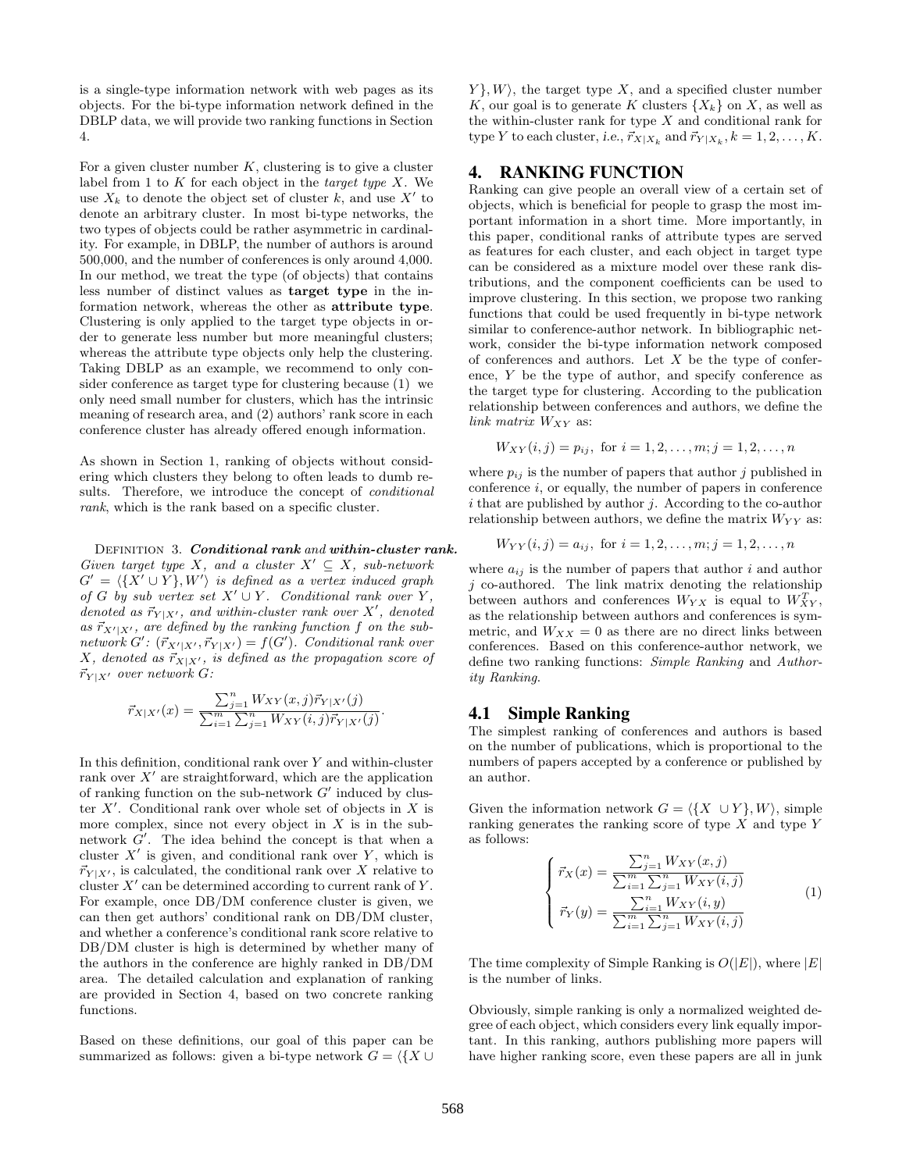is a single-type information network with web pages as its objects. For the bi-type information network defined in the DBLP data, we will provide two ranking functions in Section 4.

For a given cluster number  $K$ , clustering is to give a cluster label from 1 to  $K$  for each object in the *target type*  $X$ . We use  $X_k$  to denote the object set of cluster k, and use  $X'$  to denote an arbitrary cluster. In most bi-type networks, the two types of objects could be rather asymmetric in cardinality. For example, in DBLP, the number of authors is around 500,000, and the number of conferences is only around 4,000. In our method, we treat the type (of objects) that contains less number of distinct values as target type in the information network, whereas the other as attribute type. Clustering is only applied to the target type objects in order to generate less number but more meaningful clusters; whereas the attribute type objects only help the clustering. Taking DBLP as an example, we recommend to only consider conference as target type for clustering because (1) we only need small number for clusters, which has the intrinsic meaning of research area, and (2) authors' rank score in each conference cluster has already offered enough information.

As shown in Section 1, ranking of objects without considering which clusters they belong to often leads to dumb results. Therefore, we introduce the concept of *conditional* rank, which is the rank based on a specific cluster.

DEFINITION 3. Conditional rank and within-cluster rank. Given target type X, and a cluster  $X' \subseteq X$ , sub-network  $G' = \langle \{X' \cup Y\}, W' \rangle$  is defined as a vertex induced graph of G by sub vertex set  $X' \cup Y$ . Conditional rank over Y, denoted as  $\vec{r}_{Y|X'}$ , and within-cluster rank over X', denoted as  $\vec{r}_{X'|X'}$ , are defined by the ranking function f on the subnetwork  $G'$ :  $(\vec{r}_{X'|X'}, \vec{r}_{Y|X'}) = f(G')$ . Conditional rank over X, denoted as  $\vec{r}_{X|X'}$ , is defined as the propagation score of  $\vec{r}_{Y|X'}$  over network G:

$$
\vec{r}_{X|X'}(x) = \frac{\sum_{j=1}^{n} W_{XY}(x,j) \vec{r}_{Y|X'}(j)}{\sum_{i=1}^{m} \sum_{j=1}^{n} W_{XY}(i,j) \vec{r}_{Y|X'}(j)}.
$$

In this definition, conditional rank over  $Y$  and within-cluster rank over  $X'$  are straightforward, which are the application of ranking function on the sub-network  $G'$  induced by cluster  $X'$ . Conditional rank over whole set of objects in X is more complex, since not every object in  $X$  is in the subnetwork  $G'$ . The idea behind the concept is that when a cluster  $X'$  is given, and conditional rank over  $Y$ , which is  $\vec{r}_{Y|X'}$ , is calculated, the conditional rank over X relative to cluster  $X'$  can be determined according to current rank of Y. For example, once DB/DM conference cluster is given, we can then get authors' conditional rank on DB/DM cluster, and whether a conference's conditional rank score relative to DB/DM cluster is high is determined by whether many of the authors in the conference are highly ranked in DB/DM area. The detailed calculation and explanation of ranking are provided in Section 4, based on two concrete ranking functions.

Based on these definitions, our goal of this paper can be summarized as follows: given a bi-type network  $G = \langle \{X \cup$   $Y\}$ , W), the target type X, and a specified cluster number K, our goal is to generate K clusters  $\{X_k\}$  on X, as well as the within-cluster rank for type  $X$  and conditional rank for type Y to each cluster, i.e.,  $\vec{r}_{X|X_k}$  and  $\vec{r}_{Y|X_k}, k = 1, 2, ..., K$ .

# 4. RANKING FUNCTION

Ranking can give people an overall view of a certain set of objects, which is beneficial for people to grasp the most important information in a short time. More importantly, in this paper, conditional ranks of attribute types are served as features for each cluster, and each object in target type can be considered as a mixture model over these rank distributions, and the component coefficients can be used to improve clustering. In this section, we propose two ranking functions that could be used frequently in bi-type network similar to conference-author network. In bibliographic network, consider the bi-type information network composed of conferences and authors. Let  $X$  be the type of conference, Y be the type of author, and specify conference as the target type for clustering. According to the publication relationship between conferences and authors, we define the link matrix  $W_{XY}$  as:

$$
W_{XY}(i, j) = p_{ij}
$$
, for  $i = 1, 2, ..., m; j = 1, 2, ..., n$ 

where  $p_{ij}$  is the number of papers that author j published in conference i, or equally, the number of papers in conference  $i$  that are published by author  $j$ . According to the co-author relationship between authors, we define the matrix  $W_{YY}$  as:

$$
W_{YY}(i, j) = a_{ij}
$$
, for  $i = 1, 2, ..., m; j = 1, 2, ..., n$ 

where  $a_{ij}$  is the number of papers that author i and author  $j$  co-authored. The link matrix denoting the relationship between authors and conferences  $W_{YX}$  is equal to  $W_{XY}^T$ , as the relationship between authors and conferences is symmetric, and  $W_{XX} = 0$  as there are no direct links between conferences. Based on this conference-author network, we define two ranking functions: Simple Ranking and Authority Ranking.

## 4.1 Simple Ranking

The simplest ranking of conferences and authors is based on the number of publications, which is proportional to the numbers of papers accepted by a conference or published by an author.

Given the information network  $G = \langle \{X \cup Y\}, W \rangle$ , simple ranking generates the ranking score of type  $X$  and type  $Y$ as follows:

$$
\begin{cases}\n\vec{r}_X(x) = \frac{\sum_{j=1}^n W_{XY}(x,j)}{\sum_{i=1}^m \sum_{j=1}^n W_{XY}(i,j)} \\
\vec{r}_Y(y) = \frac{\sum_{i=1}^n W_{XY}(i,y)}{\sum_{i=1}^m \sum_{j=1}^n W_{XY}(i,j)}\n\end{cases}
$$
\n(1)

The time complexity of Simple Ranking is  $O(|E|)$ , where  $|E|$ is the number of links.

Obviously, simple ranking is only a normalized weighted degree of each object, which considers every link equally important. In this ranking, authors publishing more papers will have higher ranking score, even these papers are all in junk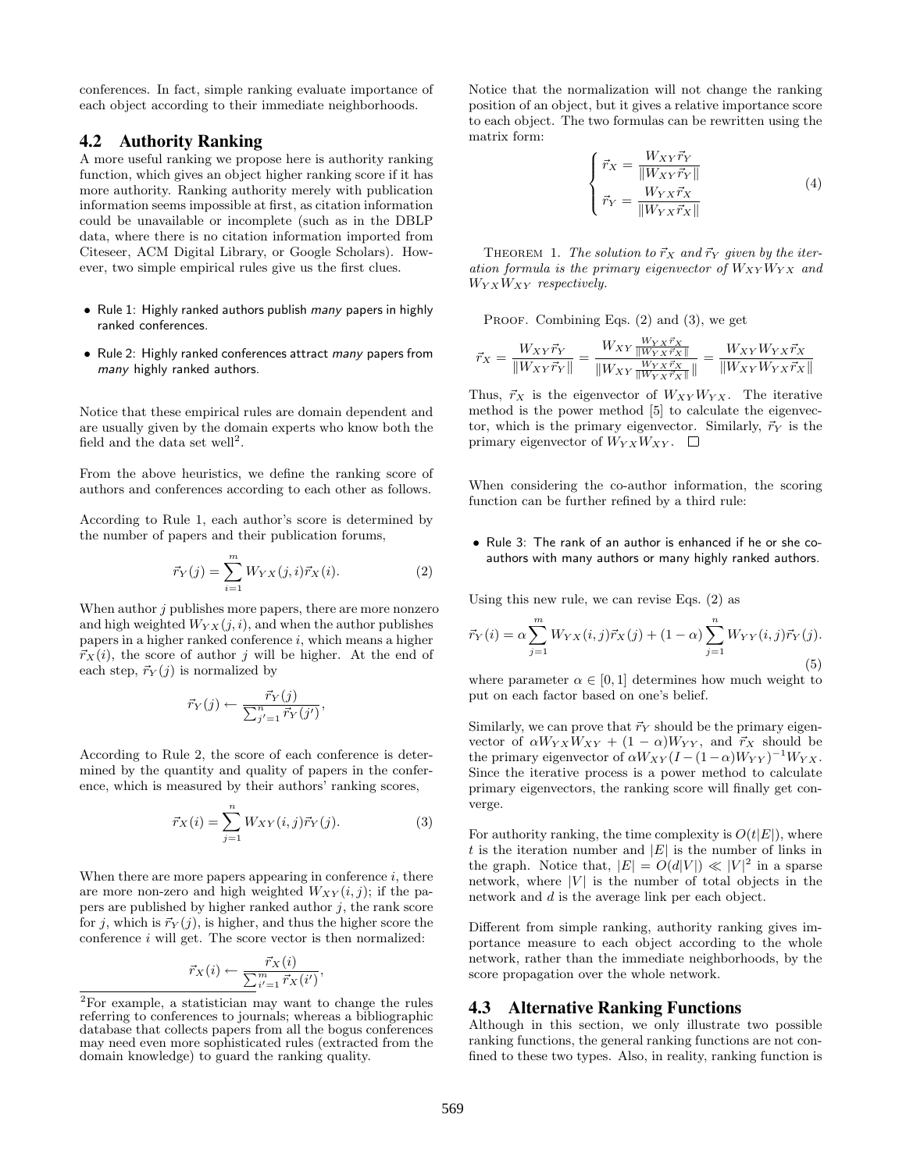conferences. In fact, simple ranking evaluate importance of each object according to their immediate neighborhoods.

### 4.2 Authority Ranking

A more useful ranking we propose here is authority ranking function, which gives an object higher ranking score if it has more authority. Ranking authority merely with publication information seems impossible at first, as citation information could be unavailable or incomplete (such as in the DBLP data, where there is no citation information imported from Citeseer, ACM Digital Library, or Google Scholars). However, two simple empirical rules give us the first clues.

- Rule 1: Highly ranked authors publish many papers in highly ranked conferences.
- Rule 2: Highly ranked conferences attract many papers from many highly ranked authors.

Notice that these empirical rules are domain dependent and are usually given by the domain experts who know both the field and the data set well<sup>2</sup>.

From the above heuristics, we define the ranking score of authors and conferences according to each other as follows.

According to Rule 1, each author's score is determined by the number of papers and their publication forums,

$$
\vec{r}_Y(j) = \sum_{i=1}^m W_{YX}(j,i)\vec{r}_X(i).
$$
 (2)

When author j publishes more papers, there are more nonzero and high weighted  $W_{YX}(i, i)$ , and when the author publishes papers in a higher ranked conference i, which means a higher  $\vec{r}_X(i)$ , the score of author j will be higher. At the end of each step,  $\vec{r}_Y(i)$  is normalized by

$$
\vec{r}_Y(j) \leftarrow \frac{\vec{r}_Y(j)}{\sum_{j'=1}^n \vec{r}_Y(j')},
$$

According to Rule 2, the score of each conference is determined by the quantity and quality of papers in the conference, which is measured by their authors' ranking scores,

$$
\vec{r}_X(i) = \sum_{j=1}^n W_{XY}(i,j)\vec{r}_Y(j).
$$
 (3)

When there are more papers appearing in conference  $i$ , there are more non-zero and high weighted  $W_{XY}(i, j)$ ; if the papers are published by higher ranked author  $j$ , the rank score for j, which is  $\vec{r}_Y(j)$ , is higher, and thus the higher score the conference  $i$  will get. The score vector is then normalized:

$$
\vec{r}_X(i) \leftarrow \frac{\vec{r}_X(i)}{\sum_{i'=1}^m \vec{r}_X(i')},
$$

Notice that the normalization will not change the ranking position of an object, but it gives a relative importance score to each object. The two formulas can be rewritten using the matrix form:  $\overline{a}$ 

$$
\begin{cases}\n\vec{r}_X = \frac{W_{XY}\vec{r}_Y}{\|W_{XY}\vec{r}_Y\|} \\
\vec{r}_Y = \frac{W_{YX}\vec{r}_X}{\|W_{YX}\vec{r}_X\|}\n\end{cases} \tag{4}
$$

THEOREM 1. The solution to  $\vec{r}_X$  and  $\vec{r}_Y$  given by the iteration formula is the primary eigenvector of  $W_{XY}W_{YX}$  and  $W_{YX}W_{XY}$  respectively.

PROOF. Combining Eqs.  $(2)$  and  $(3)$ , we get

$$
\vec{r}_X = \frac{W_{XY}\vec{r}_Y}{\|W_{XY}\vec{r}_Y\|} = \frac{W_{XY}\frac{W_{YX}\vec{r}_X}{\|W_{YX}\vec{r}_X\|}}{\|W_{XY}\frac{W_{YX}\vec{r}_X}{\|W_{YX}\vec{r}_X\|}\|} = \frac{W_{XY}W_{YX}\vec{r}_X}{\|W_{XY}W_{YX}\vec{r}_X\|}
$$

Thus,  $\vec{r}_X$  is the eigenvector of  $W_{XY}W_{YX}$ . The iterative method is the power method [5] to calculate the eigenvector, which is the primary eigenvector. Similarly,  $\vec{r}_Y$  is the primary eigenvector of  $W_{YX}W_{XY}$ .  $\Box$ 

When considering the co-author information, the scoring function can be further refined by a third rule:

• Rule 3: The rank of an author is enhanced if he or she coauthors with many authors or many highly ranked authors.

Using this new rule, we can revise Eqs. (2) as

$$
\vec{r}_{Y}(i) = \alpha \sum_{j=1}^{m} W_{YX}(i,j)\vec{r}_{X}(j) + (1-\alpha) \sum_{j=1}^{n} W_{YY}(i,j)\vec{r}_{Y}(j).
$$
\n(5)

where parameter  $\alpha \in [0, 1]$  determines how much weight to put on each factor based on one's belief.

Similarly, we can prove that  $\vec{r}_Y$  should be the primary eigenvector of  $\alpha W_{YX}W_{XY} + (1 - \alpha)W_{YY}$ , and  $\vec{r}_X$  should be the primary eigenvector of  $\alpha W_{XY}(I-(1-\alpha)W_{YY})^{-1}W_{YX}$ . Since the iterative process is a power method to calculate primary eigenvectors, the ranking score will finally get converge.

For authority ranking, the time complexity is  $O(t|E|)$ , where t is the iteration number and  $|E|$  is the number of links in the graph. Notice that,  $|E| = O(d|V|) \ll |V|^2$  in a sparse network, where  $|V|$  is the number of total objects in the network and d is the average link per each object.

Different from simple ranking, authority ranking gives importance measure to each object according to the whole network, rather than the immediate neighborhoods, by the score propagation over the whole network.

### 4.3 Alternative Ranking Functions

Although in this section, we only illustrate two possible ranking functions, the general ranking functions are not confined to these two types. Also, in reality, ranking function is

<sup>2</sup>For example, a statistician may want to change the rules referring to conferences to journals; whereas a bibliographic database that collects papers from all the bogus conferences may need even more sophisticated rules (extracted from the domain knowledge) to guard the ranking quality.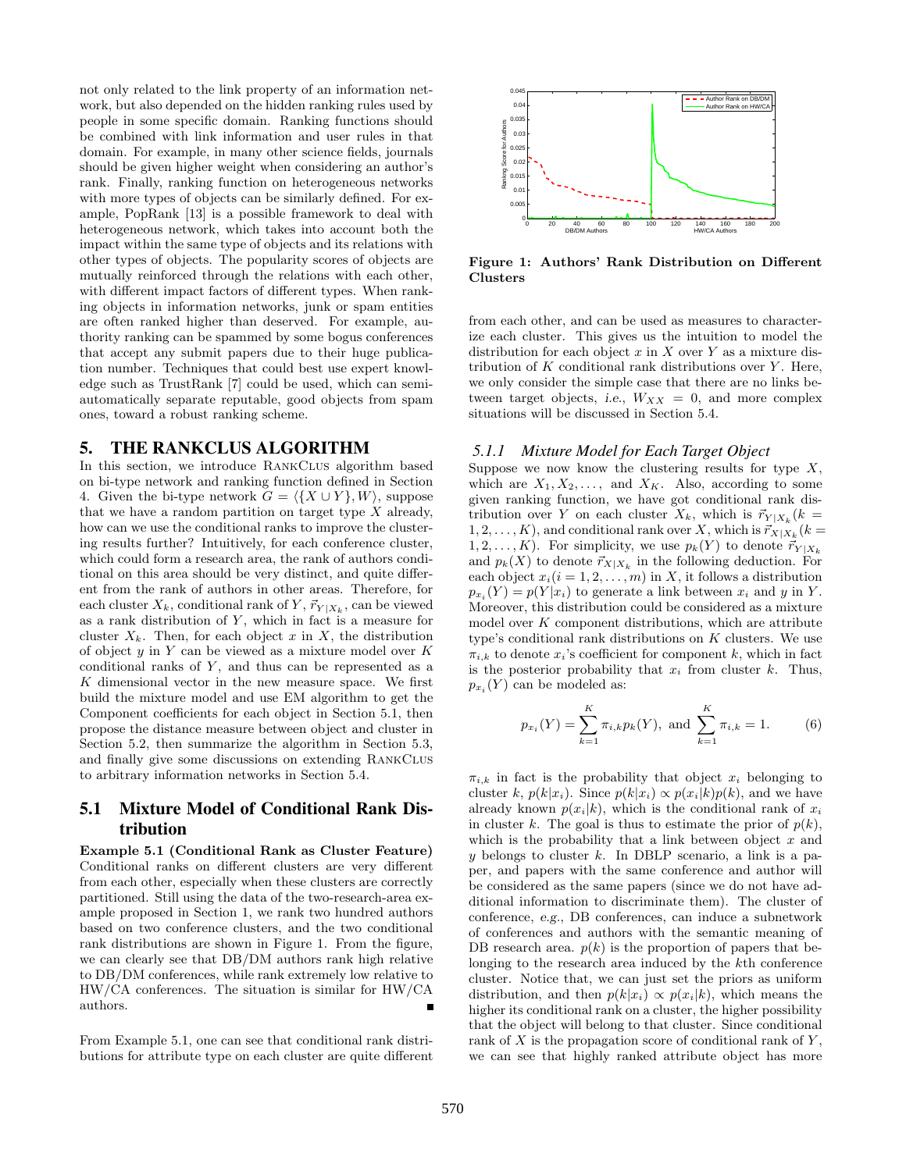not only related to the link property of an information network, but also depended on the hidden ranking rules used by people in some specific domain. Ranking functions should be combined with link information and user rules in that domain. For example, in many other science fields, journals should be given higher weight when considering an author's rank. Finally, ranking function on heterogeneous networks with more types of objects can be similarly defined. For example, PopRank [13] is a possible framework to deal with heterogeneous network, which takes into account both the impact within the same type of objects and its relations with other types of objects. The popularity scores of objects are mutually reinforced through the relations with each other, with different impact factors of different types. When ranking objects in information networks, junk or spam entities are often ranked higher than deserved. For example, authority ranking can be spammed by some bogus conferences that accept any submit papers due to their huge publication number. Techniques that could best use expert knowledge such as TrustRank [7] could be used, which can semiautomatically separate reputable, good objects from spam ones, toward a robust ranking scheme.

### 5. THE RANKCLUS ALGORITHM

In this section, we introduce RankClus algorithm based on bi-type network and ranking function defined in Section 4. Given the bi-type network  $G = \langle \{X \cup Y\}, W \rangle$ , suppose that we have a random partition on target type  $X$  already, how can we use the conditional ranks to improve the clustering results further? Intuitively, for each conference cluster, which could form a research area, the rank of authors conditional on this area should be very distinct, and quite different from the rank of authors in other areas. Therefore, for each cluster  $X_k$ , conditional rank of  $Y, \vec{r}_{Y|X_k}$ , can be viewed as a rank distribution of  $Y$ , which in fact is a measure for cluster  $X_k$ . Then, for each object x in X, the distribution of object  $y$  in  $Y$  can be viewed as a mixture model over  $K$ conditional ranks of  $Y$ , and thus can be represented as a  $K$  dimensional vector in the new measure space. We first build the mixture model and use EM algorithm to get the Component coefficients for each object in Section 5.1, then propose the distance measure between object and cluster in Section 5.2, then summarize the algorithm in Section 5.3, and finally give some discussions on extending RANKCLUS to arbitrary information networks in Section 5.4.

# 5.1 Mixture Model of Conditional Rank Distribution

Example 5.1 (Conditional Rank as Cluster Feature) Conditional ranks on different clusters are very different from each other, especially when these clusters are correctly partitioned. Still using the data of the two-research-area example proposed in Section 1, we rank two hundred authors based on two conference clusters, and the two conditional rank distributions are shown in Figure 1. From the figure, we can clearly see that DB/DM authors rank high relative to DB/DM conferences, while rank extremely low relative to HW/CA conferences. The situation is similar for HW/CA authors.

From Example 5.1, one can see that conditional rank distributions for attribute type on each cluster are quite different



Figure 1: Authors' Rank Distribution on Different Clusters

from each other, and can be used as measures to characterize each cluster. This gives us the intuition to model the distribution for each object  $x$  in  $X$  over  $Y$  as a mixture distribution of  $K$  conditional rank distributions over  $Y$ . Here, we only consider the simple case that there are no links between target objects, i.e.,  $W_{XX} = 0$ , and more complex situations will be discussed in Section 5.4.

#### *5.1.1 Mixture Model for Each Target Object*

Suppose we now know the clustering results for type  $X$ , which are  $X_1, X_2, \ldots$ , and  $X_K$ . Also, according to some given ranking function, we have got conditional rank distribution over Y on each cluster  $X_k$ , which is  $\vec{r}_{Y|X_k}(k)$  $1, 2, \ldots, K$ , and conditional rank over X, which is  $\vec{r}_{X|X_k}(k=1)$  $1, 2, \ldots, K$ ). For simplicity, we use  $p_k(Y)$  to denote  $\vec{r}_{Y|X_k}$ and  $p_k(X)$  to denote  $\vec{r}_{X|X_k}$  in the following deduction. For each object  $x_i(i = 1, 2, \ldots, m)$  in X, it follows a distribution  $p_{x_i}(Y) = p(Y|x_i)$  to generate a link between  $x_i$  and  $y$  in Y. Moreover, this distribution could be considered as a mixture model over  $K$  component distributions, which are attribute type's conditional rank distributions on  $K$  clusters. We use  $\pi_{i,k}$  to denote  $x_i$ 's coefficient for component k, which in fact is the posterior probability that  $x_i$  from cluster k. Thus,  $p_{x_i}(Y)$  can be modeled as:

$$
p_{x_i}(Y) = \sum_{k=1}^{K} \pi_{i,k} p_k(Y), \text{ and } \sum_{k=1}^{K} \pi_{i,k} = 1.
$$
 (6)

 $\pi_{i,k}$  in fact is the probability that object  $x_i$  belonging to cluster k,  $p(k|x_i)$ . Since  $p(k|x_i) \propto p(x_i|k)p(k)$ , and we have already known  $p(x_i|k)$ , which is the conditional rank of  $x_i$ in cluster k. The goal is thus to estimate the prior of  $p(k)$ , which is the probability that a link between object  $x$  and  $y$  belongs to cluster  $k$ . In DBLP scenario, a link is a paper, and papers with the same conference and author will be considered as the same papers (since we do not have additional information to discriminate them). The cluster of conference, e.g., DB conferences, can induce a subnetwork of conferences and authors with the semantic meaning of DB research area.  $p(k)$  is the proportion of papers that belonging to the research area induced by the kth conference cluster. Notice that, we can just set the priors as uniform distribution, and then  $p(k|x_i) \propto p(x_i|k)$ , which means the higher its conditional rank on a cluster, the higher possibility that the object will belong to that cluster. Since conditional rank of  $X$  is the propagation score of conditional rank of  $Y$ , we can see that highly ranked attribute object has more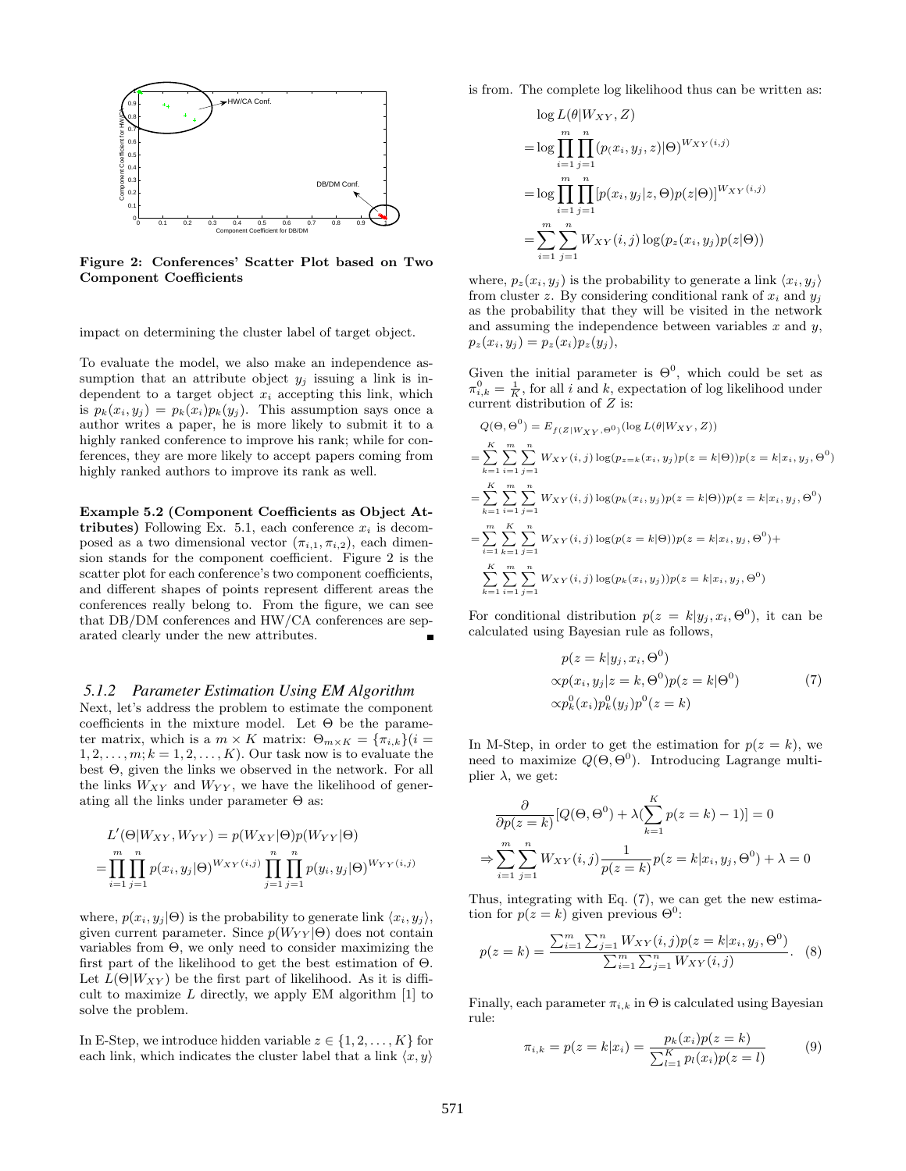

Figure 2: Conferences' Scatter Plot based on Two Component Coefficients

impact on determining the cluster label of target object.

To evaluate the model, we also make an independence assumption that an attribute object  $y_j$  issuing a link is independent to a target object  $x_i$  accepting this link, which is  $p_k(x_i, y_j) = p_k(x_i)p_k(y_j)$ . This assumption says once a author writes a paper, he is more likely to submit it to a highly ranked conference to improve his rank; while for conferences, they are more likely to accept papers coming from highly ranked authors to improve its rank as well.

Example 5.2 (Component Coefficients as Object Attributes) Following Ex. 5.1, each conference  $x_i$  is decomposed as a two dimensional vector  $(\pi_{i,1}, \pi_{i,2})$ , each dimension stands for the component coefficient. Figure 2 is the scatter plot for each conference's two component coefficients, and different shapes of points represent different areas the conferences really belong to. From the figure, we can see that DB/DM conferences and HW/CA conferences are separated clearly under the new attributes.

#### *5.1.2 Parameter Estimation Using EM Algorithm*

Next, let's address the problem to estimate the component coefficients in the mixture model. Let Θ be the parameter matrix, which is a  $m \times K$  matrix:  $\Theta_{m \times K} = {\pi_{i,k}}(i =$  $1, 2, \ldots, m; k = 1, 2, \ldots, K$ . Our task now is to evaluate the best Θ, given the links we observed in the network. For all the links  $W_{XY}$  and  $W_{YY}$ , we have the likelihood of generating all the links under parameter  $\Theta$  as:

$$
L'(\Theta|W_{XY}, W_{YY}) = p(W_{XY}|\Theta)p(W_{YY}|\Theta)
$$
  
= 
$$
\prod_{i=1}^{m} \prod_{j=1}^{n} p(x_i, y_j|\Theta)^{W_{XY}(i,j)} \prod_{j=1}^{n} \prod_{j=1}^{n} p(y_i, y_j|\Theta)^{W_{YY}(i,j)}
$$

where,  $p(x_i, y_j | \Theta)$  is the probability to generate link  $\langle x_i, y_j \rangle$ , given current parameter. Since  $p(W_{YY} | \Theta)$  does not contain variables from  $\Theta$ , we only need to consider maximizing the first part of the likelihood to get the best estimation of  $\Theta$ . Let  $L(\Theta|W_{XY})$  be the first part of likelihood. As it is difficult to maximize  $L$  directly, we apply EM algorithm  $[1]$  to solve the problem.

In E-Step, we introduce hidden variable  $z \in \{1, 2, \ldots, K\}$  for each link, which indicates the cluster label that a link  $\langle x, y \rangle$ 

is from. The complete log likelihood thus can be written as:

$$
\log L(\theta|W_{XY}, Z)
$$
  
= 
$$
\log \prod_{i=1}^{m} \prod_{j=1}^{n} (p(x_i, y_j, z)|\Theta)^{W_{XY}(i,j)}
$$
  
= 
$$
\log \prod_{i=1}^{m} \prod_{j=1}^{n} [p(x_i, y_j|z, \Theta) p(z|\Theta)]^{W_{XY}(i,j)}
$$
  
= 
$$
\sum_{i=1}^{m} \sum_{j=1}^{n} W_{XY}(i,j) \log (p_z(x_i, y_j) p(z|\Theta))
$$

where,  $p_z(x_i, y_j)$  is the probability to generate a link  $\langle x_i, y_j \rangle$ from cluster z. By considering conditional rank of  $x_i$  and  $y_j$ as the probability that they will be visited in the network and assuming the independence between variables  $x$  and  $y$ ,  $p_z(x_i, y_j) = p_z(x_i)p_z(y_j),$ 

Given the initial parameter is  $\Theta^0$ , which could be set as  $\pi_{i,k}^0 = \frac{1}{K}$ , for all i and k, expectation of log likelihood under current distribution of Z is:

$$
Q(\Theta, \Theta^{0}) = E_{f(Z|W_{XY}, \Theta^{0})}(\log L(\theta|W_{XY}, Z))
$$
  
\n
$$
= \sum_{k=1}^{K} \sum_{i=1}^{m} \sum_{j=1}^{n} W_{XY}(i, j) \log(p_{z=k}(x_i, y_j)p(z = k|\Theta))p(z = k|x_i, y_j, \Theta^{0})
$$
  
\n
$$
= \sum_{k=1}^{K} \sum_{i=1}^{m} \sum_{j=1}^{n} W_{XY}(i, j) \log(p_k(x_i, y_j)p(z = k|\Theta))p(z = k|x_i, y_j, \Theta^{0})
$$
  
\n
$$
= \sum_{i=1}^{m} \sum_{k=1}^{K} \sum_{j=1}^{n} W_{XY}(i, j) \log(p(z = k|\Theta))p(z = k|x_i, y_j, \Theta^{0}) +
$$
  
\n
$$
\sum_{k=1}^{K} \sum_{i=1}^{m} \sum_{j=1}^{n} W_{XY}(i, j) \log(p_k(x_i, y_j))p(z = k|x_i, y_j, \Theta^{0})
$$

For conditional distribution  $p(z = k|y_i, x_i, \Theta^0)$ , it can be calculated using Bayesian rule as follows,

$$
p(z = k|y_j, x_i, \Theta^0)
$$
  
\n
$$
\alpha p(x_i, y_j|z = k, \Theta^0)p(z = k|\Theta^0)
$$
  
\n
$$
\alpha p_k^0(x_i)p_k^0(y_j)p^0(z = k)
$$
\n(7)

In M-Step, in order to get the estimation for  $p(z = k)$ , we need to maximize  $Q(\Theta, \Theta^0)$ . Introducing Lagrange multiplier  $\lambda$ , we get:

$$
\frac{\partial}{\partial p(z=k)}[Q(\Theta, \Theta^0) + \lambda(\sum_{k=1}^K p(z=k) - 1)] = 0
$$
  

$$
\Rightarrow \sum_{i=1}^m \sum_{j=1}^n W_{XY}(i,j) \frac{1}{p(z=k)} p(z=k|x_i, y_j, \Theta^0) + \lambda = 0
$$

Thus, integrating with Eq. (7), we can get the new estimation for  $p(z = k)$  given previous  $\Theta^0$ :

$$
p(z = k) = \frac{\sum_{i=1}^{m} \sum_{j=1}^{n} W_{XY}(i,j)p(z = k|x_i, y_j, \Theta^0)}{\sum_{i=1}^{m} \sum_{j=1}^{n} W_{XY}(i,j)}.
$$
 (8)

Finally, each parameter  $\pi_{i,k}$  in  $\Theta$  is calculated using Bayesian rule:

$$
\pi_{i,k} = p(z = k|x_i) = \frac{p_k(x_i)p(z = k)}{\sum_{l=1}^{K} p_l(x_i)p(z = l)}
$$
(9)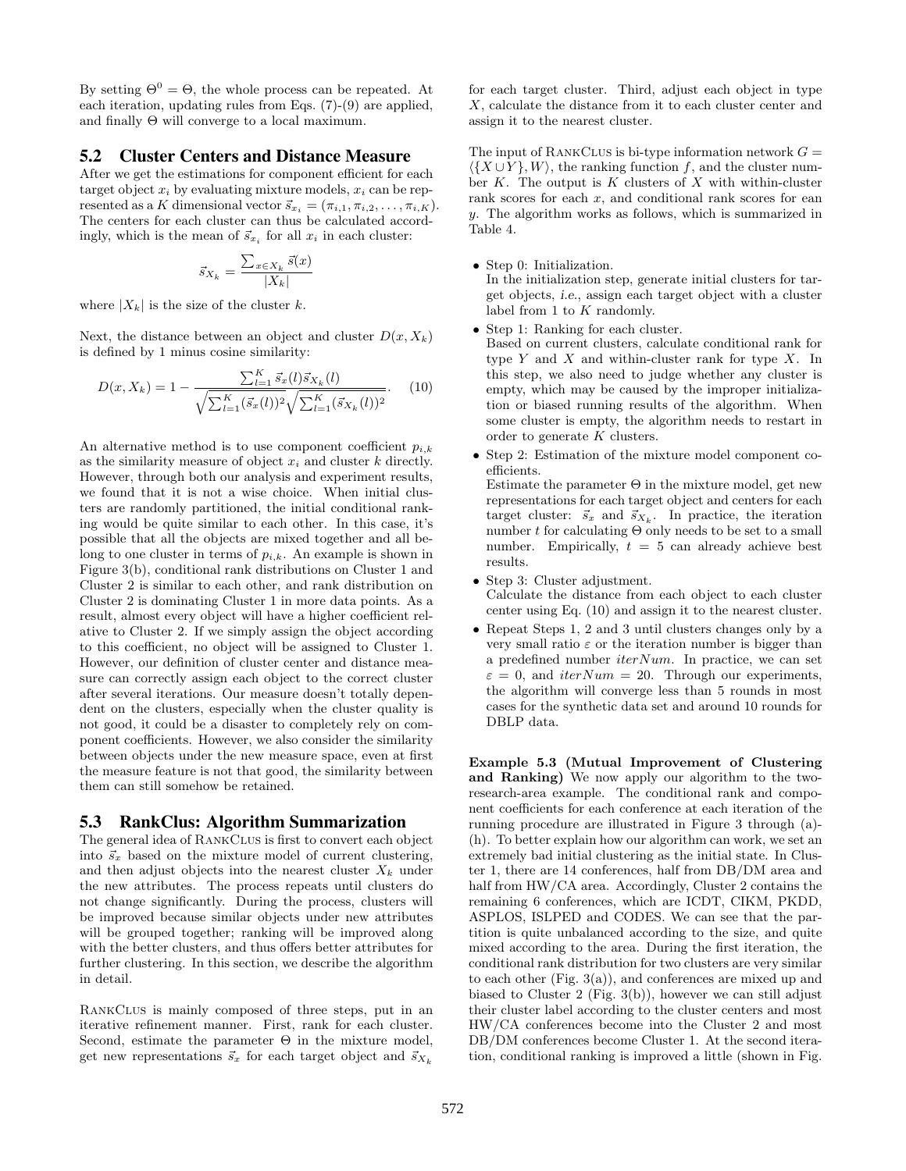By setting  $\Theta^0 = \Theta$ , the whole process can be repeated. At each iteration, updating rules from Eqs. (7)-(9) are applied, and finally Θ will converge to a local maximum.

#### 5.2 Cluster Centers and Distance Measure

After we get the estimations for component efficient for each target object  $x_i$  by evaluating mixture models,  $x_i$  can be represented as a K dimensional vector  $\vec{s}_{x_i} = (\pi_{i,1}, \pi_{i,2}, \ldots, \pi_{i,K}).$ The centers for each cluster can thus be calculated accordingly, which is the mean of  $\vec{s}_{x_i}$  for all  $x_i$  in each cluster:

$$
\vec{s}_{X_k} = \frac{\sum_{x \in X_k} \vec{s}(x)}{|X_k|}
$$

where  $|X_k|$  is the size of the cluster k.

Next, the distance between an object and cluster  $D(x, X_k)$ is defined by 1 minus cosine similarity:

$$
D(x, X_k) = 1 - \frac{\sum_{l=1}^{K} \vec{s}_x(l)\vec{s}_{X_k}(l)}{\sqrt{\sum_{l=1}^{K} (\vec{s}_x(l))^2} \sqrt{\sum_{l=1}^{K} (\vec{s}_{X_k}(l))^2}}.
$$
 (10)

An alternative method is to use component coefficient  $p_{i,k}$ as the similarity measure of object  $x_i$  and cluster  $k$  directly. However, through both our analysis and experiment results, we found that it is not a wise choice. When initial clusters are randomly partitioned, the initial conditional ranking would be quite similar to each other. In this case, it's possible that all the objects are mixed together and all belong to one cluster in terms of  $p_{i,k}$ . An example is shown in Figure 3(b), conditional rank distributions on Cluster 1 and Cluster 2 is similar to each other, and rank distribution on Cluster 2 is dominating Cluster 1 in more data points. As a result, almost every object will have a higher coefficient relative to Cluster 2. If we simply assign the object according to this coefficient, no object will be assigned to Cluster 1. However, our definition of cluster center and distance measure can correctly assign each object to the correct cluster after several iterations. Our measure doesn't totally dependent on the clusters, especially when the cluster quality is not good, it could be a disaster to completely rely on component coefficients. However, we also consider the similarity between objects under the new measure space, even at first the measure feature is not that good, the similarity between them can still somehow be retained.

#### 5.3 RankClus: Algorithm Summarization

The general idea of RankClus is first to convert each object into  $\vec{s}_x$  based on the mixture model of current clustering, and then adjust objects into the nearest cluster  $X_k$  under the new attributes. The process repeats until clusters do not change significantly. During the process, clusters will be improved because similar objects under new attributes will be grouped together; ranking will be improved along with the better clusters, and thus offers better attributes for further clustering. In this section, we describe the algorithm in detail.

RankClus is mainly composed of three steps, put in an iterative refinement manner. First, rank for each cluster. Second, estimate the parameter  $\Theta$  in the mixture model, get new representations  $\vec{s}_x$  for each target object and  $\vec{s}_{X_k}$ 

for each target cluster. Third, adjust each object in type X, calculate the distance from it to each cluster center and assign it to the nearest cluster.

The input of RANKCLUS is bi-type information network  $G =$  $\langle \{X \cup Y\}, W \rangle$ , the ranking function f, and the cluster number  $K$ . The output is  $K$  clusters of  $X$  with within-cluster rank scores for each x, and conditional rank scores for ean y. The algorithm works as follows, which is summarized in Table 4.

• Step 0: Initialization.

In the initialization step, generate initial clusters for target objects, i.e., assign each target object with a cluster label from 1 to  $K$  randomly.

• Step 1: Ranking for each cluster.

Based on current clusters, calculate conditional rank for type Y and X and within-cluster rank for type X. In this step, we also need to judge whether any cluster is empty, which may be caused by the improper initialization or biased running results of the algorithm. When some cluster is empty, the algorithm needs to restart in order to generate K clusters.

• Step 2: Estimation of the mixture model component coefficients.

Estimate the parameter  $\Theta$  in the mixture model, get new representations for each target object and centers for each target cluster:  $\vec{s}_x$  and  $\vec{s}_{X_k}$ . In practice, the iteration number t for calculating  $\Theta$  only needs to be set to a small number. Empirically,  $t = 5$  can already achieve best results.

- Step 3: Cluster adjustment. Calculate the distance from each object to each cluster center using Eq. (10) and assign it to the nearest cluster.
- Repeat Steps 1, 2 and 3 until clusters changes only by a very small ratio  $\varepsilon$  or the iteration number is bigger than a predefined number  $iterNum$ . In practice, we can set  $\varepsilon = 0$ , and *iterNum* = 20. Through our experiments, the algorithm will converge less than 5 rounds in most cases for the synthetic data set and around 10 rounds for DBLP data.

Example 5.3 (Mutual Improvement of Clustering and Ranking) We now apply our algorithm to the tworesearch-area example. The conditional rank and component coefficients for each conference at each iteration of the running procedure are illustrated in Figure 3 through (a)- (h). To better explain how our algorithm can work, we set an extremely bad initial clustering as the initial state. In Cluster 1, there are 14 conferences, half from DB/DM area and half from HW/CA area. Accordingly, Cluster 2 contains the remaining 6 conferences, which are ICDT, CIKM, PKDD, ASPLOS, ISLPED and CODES. We can see that the partition is quite unbalanced according to the size, and quite mixed according to the area. During the first iteration, the conditional rank distribution for two clusters are very similar to each other (Fig.  $3(a)$ ), and conferences are mixed up and biased to Cluster 2 (Fig. 3(b)), however we can still adjust their cluster label according to the cluster centers and most HW/CA conferences become into the Cluster 2 and most DB/DM conferences become Cluster 1. At the second iteration, conditional ranking is improved a little (shown in Fig.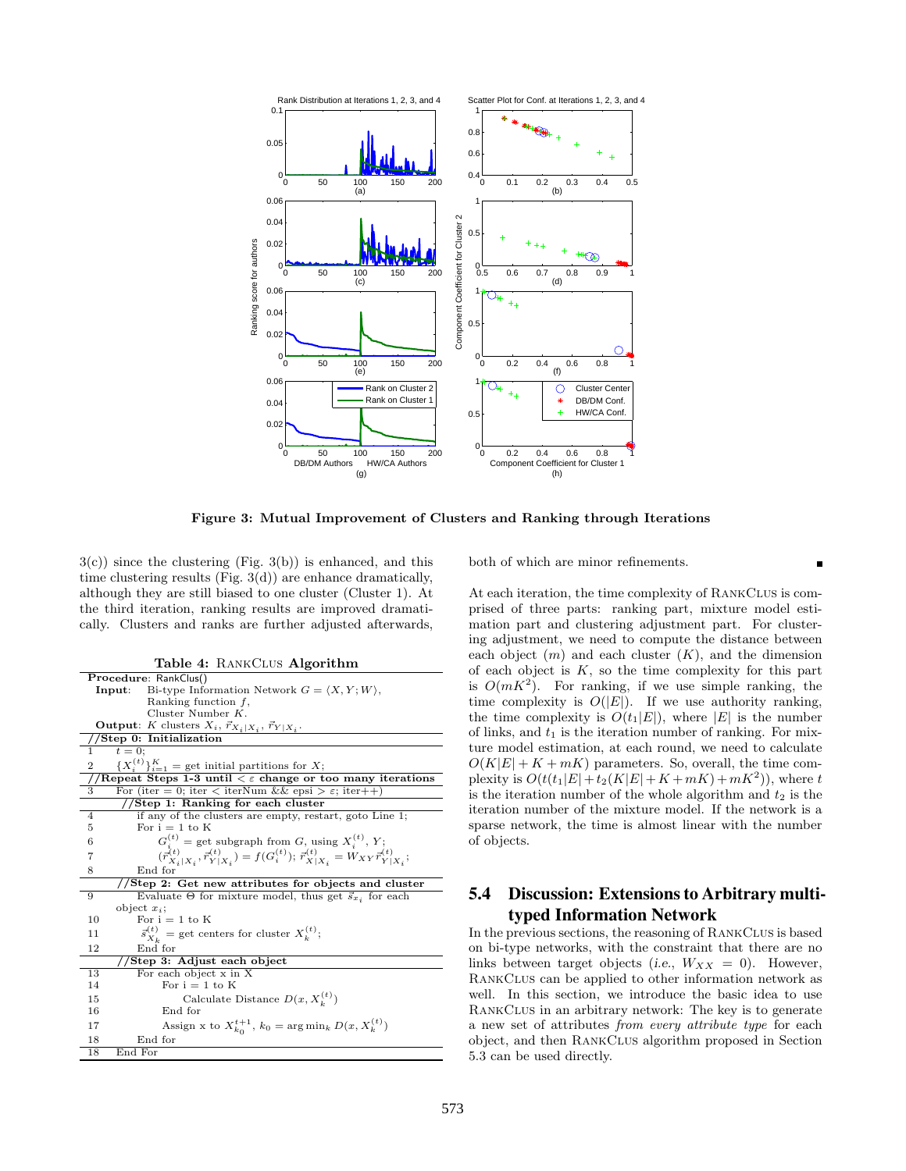

Figure 3: Mutual Improvement of Clusters and Ranking through Iterations

 $3(c)$ ) since the clustering (Fig.  $3(b)$ ) is enhanced, and this time clustering results (Fig. 3(d)) are enhance dramatically, although they are still biased to one cluster (Cluster 1). At the third iteration, ranking results are improved dramatically. Clusters and ranks are further adjusted afterwards,

|  |  | Table 4: RANKCLUS Algorithm |
|--|--|-----------------------------|
|--|--|-----------------------------|

| <b>rasie 1.</b> <i>remnones m</i> goriumm                                                                                                                                                                             |  |  |  |  |
|-----------------------------------------------------------------------------------------------------------------------------------------------------------------------------------------------------------------------|--|--|--|--|
| Procedure: RankClus()                                                                                                                                                                                                 |  |  |  |  |
| Bi-type Information Network $G = \langle X, Y, W \rangle$ ,<br>Input:                                                                                                                                                 |  |  |  |  |
| Ranking function $f$ ,                                                                                                                                                                                                |  |  |  |  |
| Cluster Number $K$ .                                                                                                                                                                                                  |  |  |  |  |
| <b>Output:</b> K clusters $X_i$ , $\vec{r}_{X_i X_i}$ , $\vec{r}_{Y X_i}$ .                                                                                                                                           |  |  |  |  |
| Step 0: Initialization                                                                                                                                                                                                |  |  |  |  |
| $t=0$ :<br>1                                                                                                                                                                                                          |  |  |  |  |
| $\{X_i^{(t)}\}_{i=1}^K$ = get initial partitions for X;<br>$\overline{2}$                                                                                                                                             |  |  |  |  |
| /Repeat Steps 1-3 until $\lt\varepsilon$ change or too many iterations                                                                                                                                                |  |  |  |  |
| 3<br>For (iter = 0; iter < iterNum && epsi > $\varepsilon$ ; iter++)                                                                                                                                                  |  |  |  |  |
| //Step 1: Ranking for each cluster                                                                                                                                                                                    |  |  |  |  |
| if any of the clusters are empty, restart, goto Line 1;<br>$\overline{4}$                                                                                                                                             |  |  |  |  |
| 5<br>For $i = 1$ to K                                                                                                                                                                                                 |  |  |  |  |
| $G_i^{(t)} =$ get subgraph from $G$ , using $X_i^{(t)}$ , $Y$ ;<br>$(\overline{r}_{X_i X_i}^{(t)}, \overline{r}_{Y X_i}^{(t)}) = f(G_i^{(t)}); \overline{r}_{X X_i}^{(t)} = W_{XY} \overline{r}_{Y X_i}^{(t)}$ ;<br>6 |  |  |  |  |
| 7                                                                                                                                                                                                                     |  |  |  |  |
| 8<br>End for                                                                                                                                                                                                          |  |  |  |  |
| $//$ Step 2: Get new attributes for objects and cluster                                                                                                                                                               |  |  |  |  |
| Evaluate $\Theta$ for mixture model, thus get $\vec{s}_{x_i}$ for each<br>9                                                                                                                                           |  |  |  |  |
| object $x_i$ ;                                                                                                                                                                                                        |  |  |  |  |
| 10<br>For $i = 1$ to K                                                                                                                                                                                                |  |  |  |  |
| $\vec{s}_{X_k}^{(t)}$ = get centers for cluster $X_k^{(t)}$ ;<br>11                                                                                                                                                   |  |  |  |  |
| 12<br>End for                                                                                                                                                                                                         |  |  |  |  |
| //Step 3: Adjust each object                                                                                                                                                                                          |  |  |  |  |
| For each object x in X<br>13                                                                                                                                                                                          |  |  |  |  |
| For $i = 1$ to K<br>14                                                                                                                                                                                                |  |  |  |  |
| Calculate Distance $D(x, X_k^{(t)})$<br>15                                                                                                                                                                            |  |  |  |  |
| End for<br>16                                                                                                                                                                                                         |  |  |  |  |
| Assign x to $X_{k_0}^{t+1}$ , $k_0 = \arg \min_k D(x, X_k^{(t)})$<br>17                                                                                                                                               |  |  |  |  |
| 18<br>End for                                                                                                                                                                                                         |  |  |  |  |
| 18<br>End For                                                                                                                                                                                                         |  |  |  |  |

both of which are minor refinements.

At each iteration, the time complexity of RankClus is comprised of three parts: ranking part, mixture model estimation part and clustering adjustment part. For clustering adjustment, we need to compute the distance between each object  $(m)$  and each cluster  $(K)$ , and the dimension of each object is  $K$ , so the time complexity for this part is  $O(mK^2)$ . For ranking, if we use simple ranking, the time complexity is  $O(|E|)$ . If we use authority ranking, the time complexity is  $O(t_1|E|)$ , where  $|E|$  is the number of links, and  $t_1$  is the iteration number of ranking. For mixture model estimation, at each round, we need to calculate  $O(K|E| + K + mK)$  parameters. So, overall, the time complexity is  $O(t(t_1|E|+t_2(K|E|+K+mK)+mK^2))$ , where t is the iteration number of the whole algorithm and  $t_2$  is the iteration number of the mixture model. If the network is a sparse network, the time is almost linear with the number of objects.

# 5.4 Discussion: Extensions to Arbitrary multityped Information Network

In the previous sections, the reasoning of RankClus is based on bi-type networks, with the constraint that there are no links between target objects (i.e.,  $W_{XX} = 0$ ). However, RANKCLUS can be applied to other information network as well. In this section, we introduce the basic idea to use RANKCLUS in an arbitrary network: The key is to generate a new set of attributes from every attribute type for each object, and then RankClus algorithm proposed in Section 5.3 can be used directly.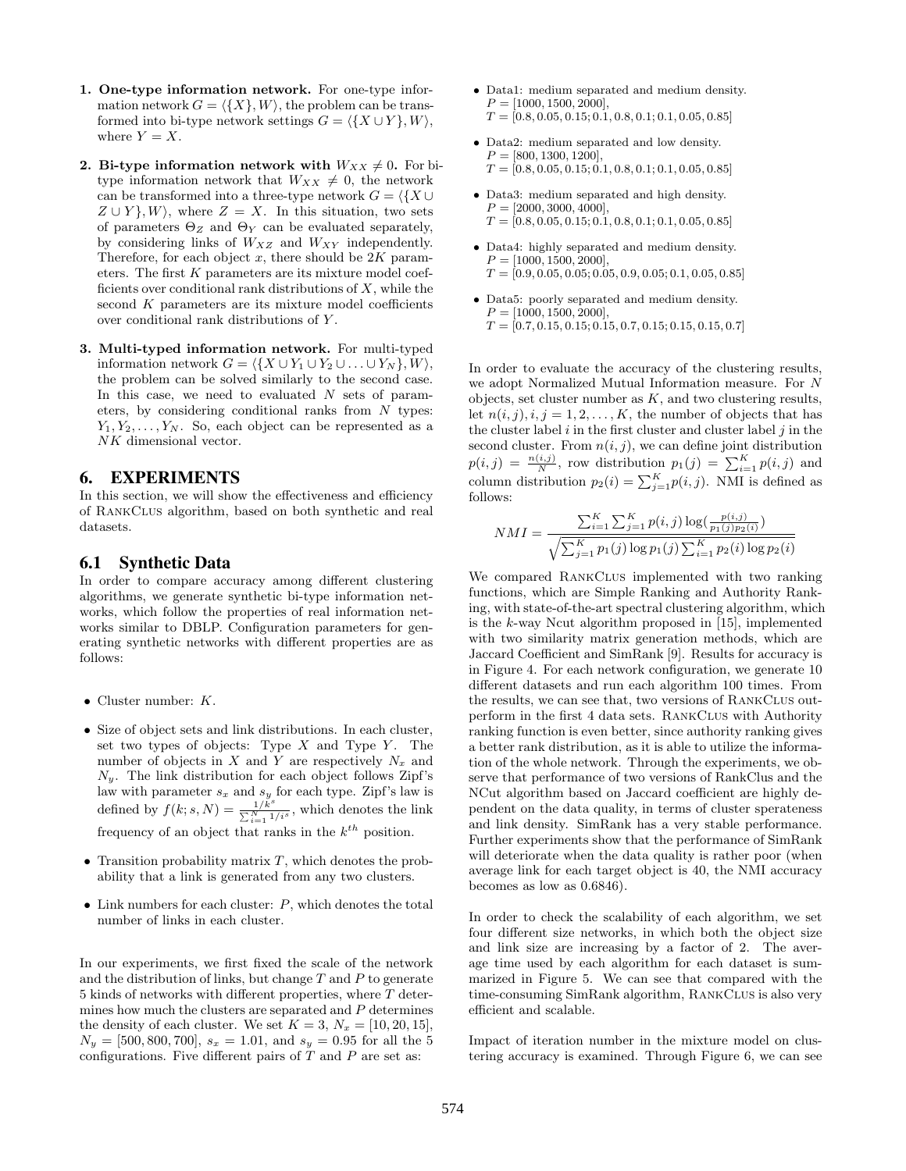- 1. One-type information network. For one-type information network  $G = \langle \{X\}, W \rangle$ , the problem can be transformed into bi-type network settings  $G = \langle \{X \cup Y\}, W \rangle$ , where  $Y = X$ .
- 2. Bi-type information network with  $W_{XX} \neq 0$ . For bitype information network that  $W_{XX} \neq 0$ , the network can be transformed into a three-type network  $G = \langle \{X \cup$  $Z \cup Y$ , W), where  $Z = X$ . In this situation, two sets of parameters  $\Theta_Z$  and  $\Theta_Y$  can be evaluated separately, by considering links of  $W_{XZ}$  and  $W_{XY}$  independently. Therefore, for each object  $x$ , there should be  $2K$  parameters. The first  $K$  parameters are its mixture model coefficients over conditional rank distributions of  $X$ , while the second K parameters are its mixture model coefficients over conditional rank distributions of Y .
- 3. Multi-typed information network. For multi-typed information network  $G = \langle \{X \cup Y_1 \cup Y_2 \cup \ldots \cup Y_N\}, W \rangle$ , the problem can be solved similarly to the second case. In this case, we need to evaluated  $N$  sets of parameters, by considering conditional ranks from  $N$  types:  $Y_1, Y_2, \ldots, Y_N$ . So, each object can be represented as a NK dimensional vector.

### 6. EXPERIMENTS

In this section, we will show the effectiveness and efficiency of RankClus algorithm, based on both synthetic and real datasets.

### 6.1 Synthetic Data

In order to compare accuracy among different clustering algorithms, we generate synthetic bi-type information networks, which follow the properties of real information networks similar to DBLP. Configuration parameters for generating synthetic networks with different properties are as follows:

- Cluster number:  $K$ .
- Size of object sets and link distributions. In each cluster, set two types of objects: Type  $X$  and Type  $Y$ . The number of objects in X and Y are respectively  $N_x$  and  $N_y$ . The link distribution for each object follows Zipf's law with parameter  $s_x$  and  $s_y$  for each type. Zipf's law is defined by  $f(k; s, N) = \frac{1/\tilde{k}^s}{\sum_{i=1}^N 1/i^s}$ , which denotes the link frequency of an object that ranks in the  $k^{th}$  position.
- Transition probability matrix  $T$ , which denotes the probability that a link is generated from any two clusters.
- $\bullet$  Link numbers for each cluster:  $P$ , which denotes the total number of links in each cluster.

In our experiments, we first fixed the scale of the network and the distribution of links, but change  $T$  and  $P$  to generate 5 kinds of networks with different properties, where T determines how much the clusters are separated and P determines the density of each cluster. We set  $K = 3$ ,  $N_x = [10, 20, 15]$ ,  $N_y = [500, 800, 700], s_x = 1.01,$  and  $s_y = 0.95$  for all the 5 configurations. Five different pairs of  $T$  and  $P$  are set as:

- Data1: medium separated and medium density.  $P = [1000, 1500, 2000],$  $T = [0.8, 0.05, 0.15; 0.1, 0.8, 0.1; 0.1, 0.05, 0.85]$
- Data2: medium separated and low density.  $P = [800, 1300, 1200],$  $T = [0.8, 0.05, 0.15, 0.1, 0.8, 0.1, 0.1, 0.05, 0.85]$
- Data3: medium separated and high density.  $P = [2000, 3000, 4000]$  $T = [0.8, 0.05, 0.15; 0.1, 0.8, 0.1; 0.1, 0.05, 0.85]$
- Data4: highly separated and medium density.  $P = [1000, 1500, 2000],$

 $T = [0.9, 0.05, 0.05, 0.05, 0.9, 0.05, 0.1, 0.05, 0.85]$ 

• Data5: poorly separated and medium density.  $P = [1000, 1500, 2000]$  $T = [0.7, 0.15, 0.15, 0.15, 0.7, 0.15, 0.15, 0.15, 0.7]$ 

In order to evaluate the accuracy of the clustering results, we adopt Normalized Mutual Information measure. For N objects, set cluster number as  $K$ , and two clustering results, let  $n(i, j), i, j = 1, 2, \ldots, K$ , the number of objects that has the cluster label  $i$  in the first cluster and cluster label  $j$  in the second cluster. From  $n(i, j)$ , we can define joint distribution become cluster. From  $h(t, j)$ , we can define joint ustribution<br>  $p(i, j) = \frac{n(i, j)}{N}$ , row distribution  $p_1(j) = \sum_{i=1}^{K} p(i, j)$  and<br>
column distribution  $p_2(i) = \sum_{j=1}^{K} p(i, j)$ . NMI is defined as follows:

$$
NMI = \frac{\sum_{i=1}^{K} \sum_{j=1}^{K} p(i,j) \log(\frac{p(i,j)}{p_1(j)p_2(i)})}{\sqrt{\sum_{j=1}^{K} p_1(j) \log p_1(j) \sum_{i=1}^{K} p_2(i) \log p_2(i)}}
$$

We compared RANKCLUS implemented with two ranking functions, which are Simple Ranking and Authority Ranking, with state-of-the-art spectral clustering algorithm, which is the k-way Ncut algorithm proposed in [15], implemented with two similarity matrix generation methods, which are Jaccard Coefficient and SimRank [9]. Results for accuracy is in Figure 4. For each network configuration, we generate 10 different datasets and run each algorithm 100 times. From the results, we can see that, two versions of RankClus outperform in the first 4 data sets. RankClus with Authority ranking function is even better, since authority ranking gives a better rank distribution, as it is able to utilize the information of the whole network. Through the experiments, we observe that performance of two versions of RankClus and the NCut algorithm based on Jaccard coefficient are highly dependent on the data quality, in terms of cluster sperateness and link density. SimRank has a very stable performance. Further experiments show that the performance of SimRank will deteriorate when the data quality is rather poor (when average link for each target object is 40, the NMI accuracy becomes as low as 0.6846).

In order to check the scalability of each algorithm, we set four different size networks, in which both the object size and link size are increasing by a factor of 2. The average time used by each algorithm for each dataset is summarized in Figure 5. We can see that compared with the time-consuming SimRank algorithm, RANKCLUS is also very efficient and scalable.

Impact of iteration number in the mixture model on clustering accuracy is examined. Through Figure 6, we can see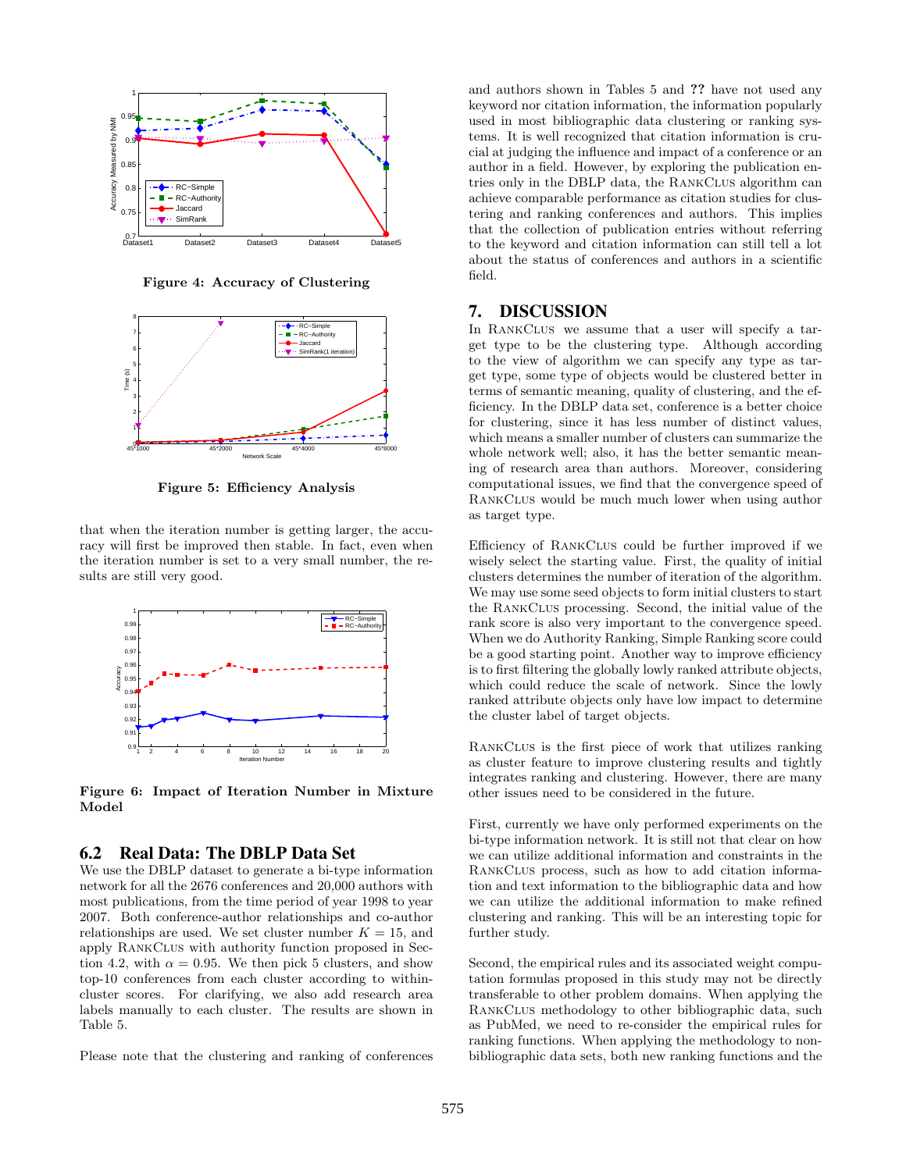

Figure 4: Accuracy of Clustering



Figure 5: Efficiency Analysis

that when the iteration number is getting larger, the accuracy will first be improved then stable. In fact, even when the iteration number is set to a very small number, the results are still very good.



Figure 6: Impact of Iteration Number in Mixture Model

# 6.2 Real Data: The DBLP Data Set

We use the DBLP dataset to generate a bi-type information network for all the 2676 conferences and 20,000 authors with most publications, from the time period of year 1998 to year 2007. Both conference-author relationships and co-author relationships are used. We set cluster number  $K = 15$ , and apply RankClus with authority function proposed in Section 4.2, with  $\alpha = 0.95$ . We then pick 5 clusters, and show top-10 conferences from each cluster according to withincluster scores. For clarifying, we also add research area labels manually to each cluster. The results are shown in Table 5.

Please note that the clustering and ranking of conferences

and authors shown in Tables 5 and ?? have not used any keyword nor citation information, the information popularly used in most bibliographic data clustering or ranking systems. It is well recognized that citation information is crucial at judging the influence and impact of a conference or an author in a field. However, by exploring the publication entries only in the DBLP data, the RankClus algorithm can achieve comparable performance as citation studies for clustering and ranking conferences and authors. This implies that the collection of publication entries without referring to the keyword and citation information can still tell a lot about the status of conferences and authors in a scientific field.

#### 7. DISCUSSION

In RankClus we assume that a user will specify a target type to be the clustering type. Although according to the view of algorithm we can specify any type as target type, some type of objects would be clustered better in terms of semantic meaning, quality of clustering, and the efficiency. In the DBLP data set, conference is a better choice for clustering, since it has less number of distinct values, which means a smaller number of clusters can summarize the whole network well; also, it has the better semantic meaning of research area than authors. Moreover, considering computational issues, we find that the convergence speed of RankClus would be much much lower when using author as target type.

Efficiency of RankClus could be further improved if we wisely select the starting value. First, the quality of initial clusters determines the number of iteration of the algorithm. We may use some seed objects to form initial clusters to start the RankClus processing. Second, the initial value of the rank score is also very important to the convergence speed. When we do Authority Ranking, Simple Ranking score could be a good starting point. Another way to improve efficiency is to first filtering the globally lowly ranked attribute objects, which could reduce the scale of network. Since the lowly ranked attribute objects only have low impact to determine the cluster label of target objects.

RankClus is the first piece of work that utilizes ranking as cluster feature to improve clustering results and tightly integrates ranking and clustering. However, there are many other issues need to be considered in the future.

First, currently we have only performed experiments on the bi-type information network. It is still not that clear on how we can utilize additional information and constraints in the RankClus process, such as how to add citation information and text information to the bibliographic data and how we can utilize the additional information to make refined clustering and ranking. This will be an interesting topic for further study.

Second, the empirical rules and its associated weight computation formulas proposed in this study may not be directly transferable to other problem domains. When applying the RankClus methodology to other bibliographic data, such as PubMed, we need to re-consider the empirical rules for ranking functions. When applying the methodology to nonbibliographic data sets, both new ranking functions and the